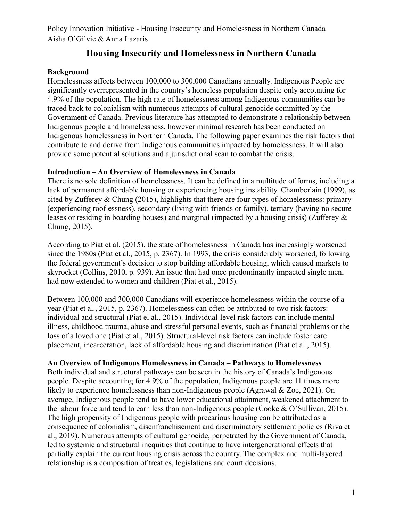# **Housing Insecurity and Homelessness in Northern Canada**

## **Background**

Homelessness affects between 100,000 to 300,000 Canadians annually. Indigenous People are significantly overrepresented in the country's homeless population despite only accounting for 4.9% of the population. The high rate of homelessness among Indigenous communities can be traced back to colonialism with numerous attempts of cultural genocide committed by the Government of Canada. Previous literature has attempted to demonstrate a relationship between Indigenous people and homelessness, however minimal research has been conducted on Indigenous homelessness in Northern Canada. The following paper examines the risk factors that contribute to and derive from Indigenous communities impacted by homelessness. It will also provide some potential solutions and a jurisdictional scan to combat the crisis.

## **Introduction – An Overview of Homelessness in Canada**

There is no sole definition of homelessness. It can be defined in a multitude of forms, including a lack of permanent affordable housing or experiencing housing instability. Chamberlain (1999), as cited by Zufferey & Chung (2015), highlights that there are four types of homelessness: primary (experiencing rooflessness), secondary (living with friends or family), tertiary (having no secure leases or residing in boarding houses) and marginal (impacted by a housing crisis) (Zufferey & Chung, 2015).

According to Piat et al. (2015), the state of homelessness in Canada has increasingly worsened since the 1980s (Piat et al., 2015, p. 2367). In 1993, the crisis considerably worsened, following the federal government's decision to stop building affordable housing, which caused markets to skyrocket (Collins, 2010, p. 939). An issue that had once predominantly impacted single men, had now extended to women and children (Piat et al., 2015).

Between 100,000 and 300,000 Canadians will experience homelessness within the course of a year (Piat et al., 2015, p. 2367). Homelessness can often be attributed to two risk factors: individual and structural (Piat el al., 2015). Individual-level risk factors can include mental illness, childhood trauma, abuse and stressful personal events, such as financial problems or the loss of a loved one (Piat et al., 2015). Structural-level risk factors can include foster care placement, incarceration, lack of affordable housing and discrimination (Piat et al., 2015).

# **An Overview of Indigenous Homelessness in Canada – Pathways to Homelessness**

Both individual and structural pathways can be seen in the history of Canada's Indigenous people. Despite accounting for 4.9% of the population, Indigenous people are 11 times more likely to experience homelessness than non-Indigenous people (Agrawal & Zoe, 2021). On average, Indigenous people tend to have lower educational attainment, weakened attachment to the labour force and tend to earn less than non-Indigenous people (Cooke & O'Sullivan, 2015). The high propensity of Indigenous people with precarious housing can be attributed as a consequence of colonialism, disenfranchisement and discriminatory settlement policies (Riva et al., 2019). Numerous attempts of cultural genocide, perpetrated by the Government of Canada, led to systemic and structural inequities that continue to have intergenerational effects that partially explain the current housing crisis across the country. The complex and multi-layered relationship is a composition of treaties, legislations and court decisions.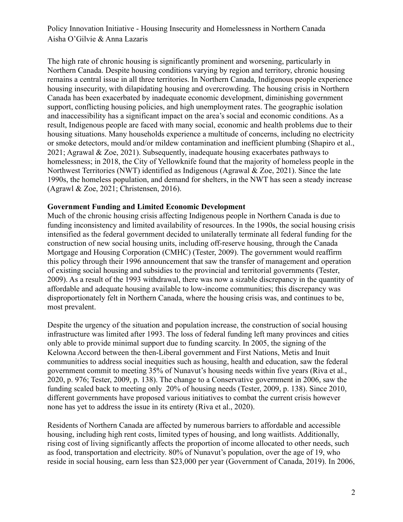The high rate of chronic housing is significantly prominent and worsening, particularly in Northern Canada. Despite housing conditions varying by region and territory, chronic housing remains a central issue in all three territories. In Northern Canada, Indigenous people experience housing insecurity, with dilapidating housing and overcrowding. The housing crisis in Northern Canada has been exacerbated by inadequate economic development, diminishing government support, conflicting housing policies, and high unemployment rates. The geographic isolation and inaccessibility has a significant impact on the area's social and economic conditions. As a result, Indigenous people are faced with many social, economic and health problems due to their housing situations. Many households experience a multitude of concerns, including no electricity or smoke detectors, mould and/or mildew contamination and inefficient plumbing (Shapiro et al., 2021; Agrawal  $& Zoe, 2021$ ). Subsequently, inadequate housing exacerbates pathways to homelessness; in 2018, the City of Yellowknife found that the majority of homeless people in the Northwest Territories (NWT) identified as Indigenous (Agrawal & Zoe, 2021). Since the late 1990s, the homeless population, and demand for shelters, in the NWT has seen a steady increase (Agrawl & Zoe, 2021; Christensen, 2016).

### **Government Funding and Limited Economic Development**

Much of the chronic housing crisis affecting Indigenous people in Northern Canada is due to funding inconsistency and limited availability of resources. In the 1990s, the social housing crisis intensified as the federal government decided to unilaterally terminate all federal funding for the construction of new social housing units, including off-reserve housing, through the Canada Mortgage and Housing Corporation (CMHC) (Tester, 2009). The government would reaffirm this policy through their 1996 announcement that saw the transfer of management and operation of existing social housing and subsidies to the provincial and territorial governments (Tester, 2009). As a result of the 1993 withdrawal, there was now a sizable discrepancy in the quantity of affordable and adequate housing available to low-income communities; this discrepancy was disproportionately felt in Northern Canada, where the housing crisis was, and continues to be, most prevalent.

Despite the urgency of the situation and population increase, the construction of social housing infrastructure was limited after 1993. The loss of federal funding left many provinces and cities only able to provide minimal support due to funding scarcity. In 2005, the signing of the Kelowna Accord between the then-Liberal government and First Nations, Metis and Inuit communities to address social inequities such as housing, health and education, saw the federal government commit to meeting 35% of Nunavut's housing needs within five years (Riva et al., 2020, p. 976; Tester, 2009, p. 138). The change to a Conservative government in 2006, saw the funding scaled back to meeting only 20% of housing needs (Tester, 2009, p. 138). Since 2010, different governments have proposed various initiatives to combat the current crisis however none has yet to address the issue in its entirety (Riva et al., 2020).

Residents of Northern Canada are affected by numerous barriers to affordable and accessible housing, including high rent costs, limited types of housing, and long waitlists. Additionally, rising cost of living significantly affects the proportion of income allocated to other needs, such as food, transportation and electricity. 80% of Nunavut's population, over the age of 19, who reside in social housing, earn less than \$23,000 per year (Government of Canada, 2019). In 2006,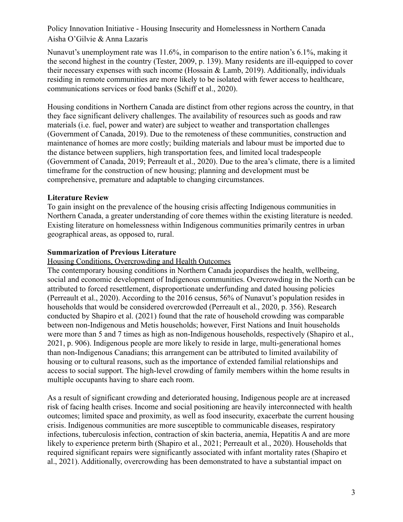Nunavut's unemployment rate was 11.6%, in comparison to the entire nation's 6.1%, making it the second highest in the country (Tester, 2009, p. 139). Many residents are ill-equipped to cover their necessary expenses with such income (Hossain & Lamb, 2019). Additionally, individuals residing in remote communities are more likely to be isolated with fewer access to healthcare, communications services or food banks (Schiff et al., 2020).

Housing conditions in Northern Canada are distinct from other regions across the country, in that they face significant delivery challenges. The availability of resources such as goods and raw materials (i.e. fuel, power and water) are subject to weather and transportation challenges (Government of Canada, 2019). Due to the remoteness of these communities, construction and maintenance of homes are more costly; building materials and labour must be imported due to the distance between suppliers, high transportation fees, and limited local tradespeople (Government of Canada, 2019; Perreault et al., 2020). Due to the area's climate, there is a limited timeframe for the construction of new housing; planning and development must be comprehensive, premature and adaptable to changing circumstances.

## **Literature Review**

To gain insight on the prevalence of the housing crisis affecting Indigenous communities in Northern Canada, a greater understanding of core themes within the existing literature is needed. Existing literature on homelessness within Indigenous communities primarily centres in urban geographical areas, as opposed to, rural.

### **Summarization of Previous Literature**

Housing Conditions, Overcrowding and Health Outcomes

The contemporary housing conditions in Northern Canada jeopardises the health, wellbeing, social and economic development of Indigenous communities. Overcrowding in the North can be attributed to forced resettlement, disproportionate underfunding and dated housing policies (Perreault et al., 2020). According to the 2016 census, 56% of Nunavut's population resides in households that would be considered overcrowded (Perreault et al., 2020, p. 356). Research conducted by Shapiro et al. (2021) found that the rate of household crowding was comparable between non-Indigenous and Metis households; however, First Nations and Inuit households were more than 5 and 7 times as high as non-Indigenous households, respectively (Shapiro et al., 2021, p. 906). Indigenous people are more likely to reside in large, multi-generational homes than non-Indigenous Canadians; this arrangement can be attributed to limited availability of housing or to cultural reasons, such as the importance of extended familial relationships and access to social support. The high-level crowding of family members within the home results in multiple occupants having to share each room.

As a result of significant crowding and deteriorated housing, Indigenous people are at increased risk of facing health crises. Income and social positioning are heavily interconnected with health outcomes; limited space and proximity, as well as food insecurity, exacerbate the current housing crisis. Indigenous communities are more susceptible to communicable diseases, respiratory infections, tuberculosis infection, contraction of skin bacteria, anemia, Hepatitis A and are more likely to experience preterm birth (Shapiro et al., 2021; Perreault et al., 2020). Households that required significant repairs were significantly associated with infant mortality rates (Shapiro et al., 2021). Additionally, overcrowding has been demonstrated to have a substantial impact on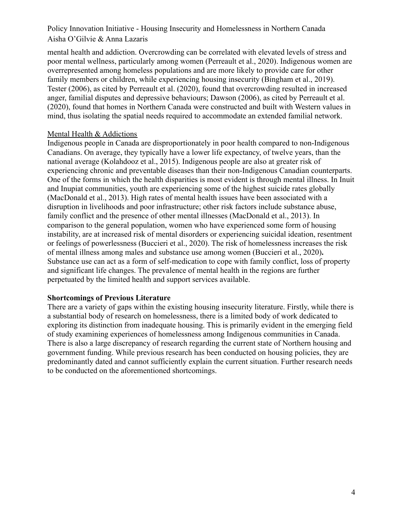mental health and addiction. Overcrowding can be correlated with elevated levels of stress and poor mental wellness, particularly among women (Perreault et al., 2020). Indigenous women are overrepresented among homeless populations and are more likely to provide care for other family members or children, while experiencing housing insecurity (Bingham et al., 2019). Tester (2006), as cited by Perreault et al. (2020), found that overcrowding resulted in increased anger, familial disputes and depressive behaviours; Dawson (2006), as cited by Perreault et al. (2020), found that homes in Northern Canada were constructed and built with Western values in mind, thus isolating the spatial needs required to accommodate an extended familial network.

### Mental Health & Addictions

Indigenous people in Canada are disproportionately in poor health compared to non-Indigenous Canadians. On average, they typically have a lower life expectancy, of twelve years, than the national average (Kolahdooz et al., 2015). Indigenous people are also at greater risk of experiencing chronic and preventable diseases than their non-Indigenous Canadian counterparts. One of the forms in which the health disparities is most evident is through mental illness. In Inuit and Inupiat communities, youth are experiencing some of the highest suicide rates globally (MacDonald et al., 2013). High rates of mental health issues have been associated with a disruption in livelihoods and poor infrastructure; other risk factors include substance abuse, family conflict and the presence of other mental illnesses (MacDonald et al., 2013). In comparison to the general population, women who have experienced some form of housing instability, are at increased risk of mental disorders or experiencing suicidal ideation, resentment or feelings of powerlessness (Buccieri et al., 2020). The risk of homelessness increases the risk of mental illness among males and substance use among women (Buccieri et al., 2020)**.** Substance use can act as a form of self-medication to cope with family conflict, loss of property and significant life changes. The prevalence of mental health in the regions are further perpetuated by the limited health and support services available.

## **Shortcomings of Previous Literature**

There are a variety of gaps within the existing housing insecurity literature. Firstly, while there is a substantial body of research on homelessness, there is a limited body of work dedicated to exploring its distinction from inadequate housing. This is primarily evident in the emerging field of study examining experiences of homelessness among Indigenous communities in Canada. There is also a large discrepancy of research regarding the current state of Northern housing and government funding. While previous research has been conducted on housing policies, they are predominantly dated and cannot sufficiently explain the current situation. Further research needs to be conducted on the aforementioned shortcomings.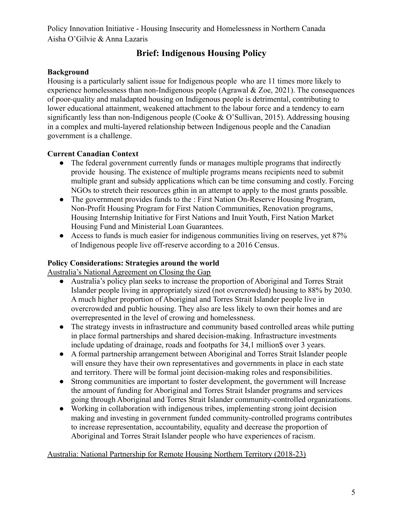# **Brief: Indigenous Housing Policy**

## **Background**

Housing is a particularly salient issue for Indigenous people who are 11 times more likely to experience homelessness than non-Indigenous people (Agrawal & Zoe, 2021). The consequences of poor-quality and maladapted housing on Indigenous people is detrimental, contributing to lower educational attainment, weakened attachment to the labour force and a tendency to earn significantly less than non-Indigenous people (Cooke & O'Sullivan, 2015). Addressing housing in a complex and multi-layered relationship between Indigenous people and the Canadian government is a challenge.

## **Current Canadian Context**

- The federal government currently funds or manages multiple programs that indirectly provide housing. The existence of multiple programs means recipients need to submit multiple grant and subsidy applications which can be time consuming and costly. Forcing NGOs to stretch their resources gthin in an attempt to apply to the most grants possible.
- The government provides funds to the : First Nation On-Reserve Housing Program, Non-Profit Housing Program for First Nation Communities, Renovation programs, Housing Internship Initiative for First Nations and Inuit Youth, First Nation Market Housing Fund and Ministerial Loan Guarantees.
- Access to funds is much easier for indigenous communities living on reserves, yet 87% of Indigenous people live off-reserve according to a 2016 Census.

## **Policy Considerations: Strategies around the world**

Australia's National Agreement on Closing the Gap

- Australia's policy plan seeks to increase the proportion of Aboriginal and Torres Strait Islander people living in appropriately sized (not overcrowded) housing to 88% by 2030. A much higher proportion of Aboriginal and Torres Strait Islander people live in overcrowded and public housing. They also are less likely to own their homes and are overrepresented in the level of crowing and homelessness.
- The strategy invests in infrastructure and community based controlled areas while putting in place formal partnerships and shared decision-making. Infrastructure investments include updating of drainage, roads and footpaths for 34,1 million\$ over 3 years.
- A formal partnership arrangement between Aboriginal and Torres Strait Islander people will ensure they have their own representatives and governments in place in each state and territory. There will be formal joint decision-making roles and responsibilities.
- Strong communities are important to foster development, the government will Increase the amount of funding for Aboriginal and Torres Strait Islander programs and services going through Aboriginal and Torres Strait Islander community-controlled organizations.
- Working in collaboration with indigenous tribes, implementing strong joint decision making and investing in government funded community-controlled programs contributes to increase representation, accountability, equality and decrease the proportion of Aboriginal and Torres Strait Islander people who have experiences of racism.

## Australia: National Partnership for Remote Housing Northern Territory (2018-23)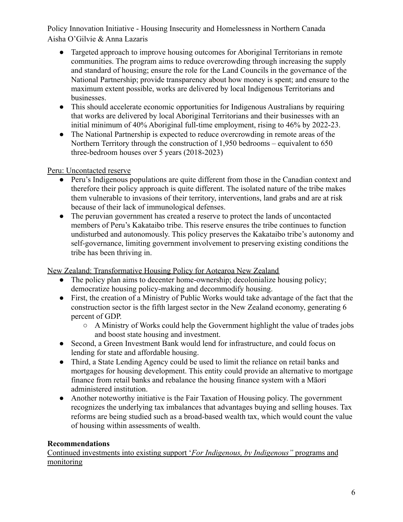- Targeted approach to improve housing outcomes for Aboriginal Territorians in remote communities. The program aims to reduce overcrowding through increasing the supply and standard of housing; ensure the role for the Land Councils in the governance of the National Partnership; provide transparency about how money is spent; and ensure to the maximum extent possible, works are delivered by local Indigenous Territorians and businesses.
- This should accelerate economic opportunities for Indigenous Australians by requiring that works are delivered by local Aboriginal Territorians and their businesses with an initial minimum of 40% Aboriginal full-time employment, rising to 46% by 2022-23.
- The National Partnership is expected to reduce overcrowding in remote areas of the Northern Territory through the construction of 1,950 bedrooms – equivalent to 650 three-bedroom houses over 5 years (2018-2023)

Peru: Uncontacted reserve

- Peru's Indigenous populations are quite different from those in the Canadian context and therefore their policy approach is quite different. The isolated nature of the tribe makes them vulnerable to invasions of their territory, interventions, land grabs and are at risk because of their lack of immunological defenses.
- The peruvian government has created a reserve to protect the lands of uncontacted members of Peru's Kakataibo tribe. This reserve ensures the tribe continues to function undisturbed and autonomously. This policy preserves the Kakataibo tribe's autonomy and self-governance, limiting government involvement to preserving existing conditions the tribe has been thriving in.

New Zealand: Transformative Housing Policy for Aotearoa New Zealand

- The policy plan aims to decenter home-ownership; decolonialize housing policy; democratize housing policy-making and decommodify housing.
- First, the creation of a Ministry of Public Works would take advantage of the fact that the construction sector is the fifth largest sector in the New Zealand economy, generating 6 percent of GDP.
	- A Ministry of Works could help the Government highlight the value of trades jobs and boost state housing and investment.
- Second, a Green Investment Bank would lend for infrastructure, and could focus on lending for state and affordable housing.
- Third, a State Lending Agency could be used to limit the reliance on retail banks and mortgages for housing development. This entity could provide an alternative to mortgage finance from retail banks and rebalance the housing finance system with a Māori administered institution.
- Another noteworthy initiative is the Fair Taxation of Housing policy. The government recognizes the underlying tax imbalances that advantages buying and selling houses. Tax reforms are being studied such as a broad-based wealth tax, which would count the value of housing within assessments of wealth.

# **Recommendations**

Continued investments into existing support '*For Indigenous, by Indigenous"* programs and monitoring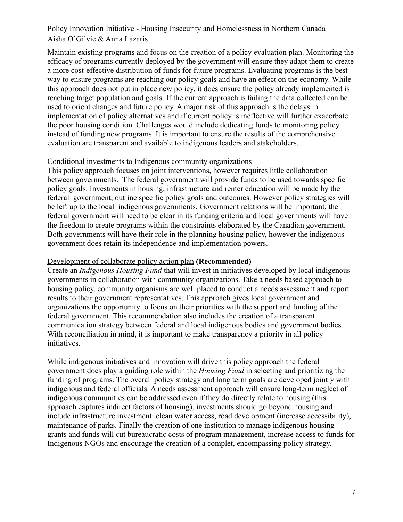Maintain existing programs and focus on the creation of a policy evaluation plan. Monitoring the efficacy of programs currently deployed by the government will ensure they adapt them to create a more cost-effective distribution of funds for future programs. Evaluating programs is the best way to ensure programs are reaching our policy goals and have an effect on the economy. While this approach does not put in place new policy, it does ensure the policy already implemented is reaching target population and goals. If the current approach is failing the data collected can be used to orient changes and future policy. A major risk of this approach is the delays in implementation of policy alternatives and if current policy is ineffective will further exacerbate the poor housing condition. Challenges would include dedicating funds to monitoring policy instead of funding new programs. It is important to ensure the results of the comprehensive evaluation are transparent and available to indigenous leaders and stakeholders.

### Conditional investments to Indigenous community organizations

This policy approach focuses on joint interventions, however requires little collaboration between governments. The federal government will provide funds to be used towards specific policy goals. Investments in housing, infrastructure and renter education will be made by the federal government, outline specific policy goals and outcomes. However policy strategies will be left up to the local indigenous governments. Government relations will be important, the federal government will need to be clear in its funding criteria and local governments will have the freedom to create programs within the constraints elaborated by the Canadian government. Both governments will have their role in the planning housing policy, however the indigenous government does retain its independence and implementation powers.

### Development of collaborate policy action plan **(Recommended)**

Create an *Indigenous Housing Fund* that will invest in initiatives developed by local indigenous governments in collaboration with community organizations. Take a needs based approach to housing policy, community organisms are well placed to conduct a needs assessment and report results to their government representatives. This approach gives local government and organizations the opportunity to focus on their priorities with the support and funding of the federal government. This recommendation also includes the creation of a transparent communication strategy between federal and local indigenous bodies and government bodies. With reconciliation in mind, it is important to make transparency a priority in all policy initiatives.

While indigenous initiatives and innovation will drive this policy approach the federal government does play a guiding role within the *Housing Fund* in selecting and prioritizing the funding of programs. The overall policy strategy and long term goals are developed jointly with indigenous and federal officials. A needs assessment approach will ensure long-term neglect of indigenous communities can be addressed even if they do directly relate to housing (this approach captures indirect factors of housing), investments should go beyond housing and include infrastructure investment: clean water access, road development (increase accessibility), maintenance of parks. Finally the creation of one institution to manage indigenous housing grants and funds will cut bureaucratic costs of program management, increase access to funds for Indigenous NGOs and encourage the creation of a complet, encompassing policy strategy.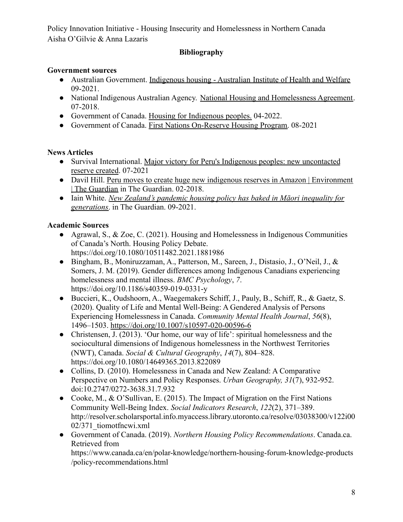# **Bibliography**

# **Government sources**

- Australian Government. [Indigenous housing Australian](https://www.aihw.gov.au/reports/australias-welfare/indigenous-housing) Institute of Health and Welfare 09-2021.
- National Indigenous Australian Agency. National Housing [and Homelessness Agreement.](https://www.niaa.gov.au/indigenous-affairs/land-and-housing/national-housing-and-homelessness-agreement) 07-2018.
- Government of Canada. [Housing for Indigenous peoples.](https://www.sac-isc.gc.ca/eng/1100100010752/1535115367287#chp6) 04-2022.
- Government of Canada. [First Nations On-Reserve Housing](https://www.sac-isc.gc.ca/eng/1100100010752/1535115367287) Program. 08-2021

# **News Articles**

- Survival International. [Major victory for Peru's Indigenous](https://www.survivalinternational.org/news/12619) peoples: new uncontacted [reserve created](https://www.survivalinternational.org/news/12619). 07-2021
- Davil Hill. [Peru moves to create huge new indigenous](https://www.theguardian.com/environment/andes-to-the-amazon/2018/feb/28/peru-moves-huge-new-indigenous-reserves-amazon) reserves in Amazon | Environment [| The Guardian](https://www.theguardian.com/environment/andes-to-the-amazon/2018/feb/28/peru-moves-huge-new-indigenous-reserves-amazon) in The Guardian. 02-2018.
- Iain White. *[New Zealand's pandemic housing policy](https://www.theguardian.com/world/commentisfree/2021/sep/17/new-zealands-pandemic-housing-policy-has-baked-in-maori-inequality-for-generations) has baked in Māori inequality for [generations](https://www.theguardian.com/world/commentisfree/2021/sep/17/new-zealands-pandemic-housing-policy-has-baked-in-maori-inequality-for-generations)*. in The Guardian. 09-2021.

# **Academic Sources**

- Agrawal, S., & Zoe, C. (2021). Housing and Homelessness in Indigenous Communities of Canada's North. Housing Policy Debate. https://doi.org/10.1080/10511482.2021.1881986
- Bingham, B., Moniruzzaman, A., Patterson, M., Sareen, J., Distasio, J., O'Neil, J., & Somers, J. M. (2019). Gender differences among Indigenous Canadians experiencing homelessness and mental illness. *BMC Psychology*, *7*. https://doi.org/10.1186/s40359-019-0331-y
- Buccieri, K., Oudshoorn, A., Waegemakers Schiff, J., Pauly, B., Schiff, R., & Gaetz, S. (2020). Quality of Life and Mental Well-Being: A Gendered Analysis of Persons Experiencing Homelessness in Canada. *Community Mental Health Journal*, *56*(8), 1496–1503. <https://doi.org/10.1007/s10597-020-00596-6>
- Christensen, J. (2013). 'Our home, our way of life': spiritual homelessness and the sociocultural dimensions of Indigenous homelessness in the Northwest Territories (NWT), Canada. *Social & Cultural Geography*, *14*(7), 804–828. https://doi.org/10.1080/14649365.2013.822089
- Collins, D. (2010). Homelessness in Canada and New Zealand: A Comparative Perspective on Numbers and Policy Responses. *Urban Geography, 31*(7), 932-952. doi:10.2747/0272-3638.31.7.932
- Cooke, M., & O'Sullivan, E. (2015). The Impact of Migration on the First Nations Community Well-Being Index. *Social Indicators Research*, *122*(2), 371–389. http://resolver.scholarsportal.info.myaccess.library.utoronto.ca/resolve/03038300/v122i00 02/371\_tiomotfncwi.xml
- Government of Canada. (2019). *Northern Housing Policy Recommendations*. Canada.ca. Retrieved from https://www.canada.ca/en/polar-knowledge/northern-housing-forum-knowledge-products /policy-recommendations.html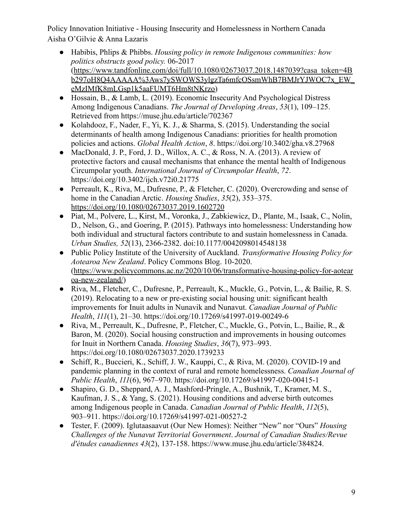- Habibis, Phlips & Phibbs. *Housing policy in remote Indigenous communities: how politics obstructs good policy.* 06-2017 ([https://www.tandfonline.com/doi/full/10.1080/02673037.2018.1487039?casa\\_token=4B](https://www.tandfonline.com/doi/full/10.1080/02673037.2018.1487039?casa_token=4Bb297oH8Q4AAAAA%3Aws7ySWOWS3ylgzTa6mfcOSsmWhB7BMJrYJWOC7x_EW_eMzIMfK8mLGsp1k5aaFUMT6Hm8tNKrzo) [b297oH8Q4AAAAA%3Aws7ySWOWS3ylgzTa6mfcOSsmWhB7BMJrYJWOC7x\\_EW\\_](https://www.tandfonline.com/doi/full/10.1080/02673037.2018.1487039?casa_token=4Bb297oH8Q4AAAAA%3Aws7ySWOWS3ylgzTa6mfcOSsmWhB7BMJrYJWOC7x_EW_eMzIMfK8mLGsp1k5aaFUMT6Hm8tNKrzo) [eMzIMfK8mLGsp1k5aaFUMT6Hm8tNKrzo\)](https://www.tandfonline.com/doi/full/10.1080/02673037.2018.1487039?casa_token=4Bb297oH8Q4AAAAA%3Aws7ySWOWS3ylgzTa6mfcOSsmWhB7BMJrYJWOC7x_EW_eMzIMfK8mLGsp1k5aaFUMT6Hm8tNKrzo)
- Hossain, B., & Lamb, L. (2019). Economic Insecurity And Psychological Distress Among Indigenous Canadians. *The Journal of Developing Areas*, *53*(1), 109–125. Retrieved from https://muse.jhu.edu/article/702367
- Kolahdooz, F., Nader, F., Yi, K. J., & Sharma, S. (2015). Understanding the social determinants of health among Indigenous Canadians: priorities for health promotion policies and actions. *Global Health Action*, *8*. https://doi.org/10.3402/gha.v8.27968
- MacDonald, J. P., Ford, J. D., Willox, A. C., & Ross, N. A. (2013). A review of protective factors and causal mechanisms that enhance the mental health of Indigenous Circumpolar youth. *International Journal of Circumpolar Health*, *72*. https://doi.org/10.3402/ijch.v72i0.21775
- Perreault, K., Riva, M., Dufresne, P., & Fletcher, C. (2020). Overcrowding and sense of home in the Canadian Arctic. *Housing Studies*, *35*(2), 353–375. <https://doi.org/10.1080/02673037.2019.1602720>
- Piat, M., Polvere, L., Kirst, M., Voronka, J., Zabkiewicz, D., Plante, M., Isaak, C., Nolin, D., Nelson, G., and Goering, P. (2015). Pathways into homelessness: Understanding how both individual and structural factors contribute to and sustain homelessness in Canada. *Urban Studies, 52*(13), 2366-2382. doi:10.1177/0042098014548138
- Public Policy Institute of the University of Auckland. *Transformative Housing Policy for Aotearoa New Zealand*. Policy Commons Blog. 10-2020. ([https://www.policycommons.ac.nz/2020/10/06/transformative-housing-policy-for-aotear](https://www.policycommons.ac.nz/2020/10/06/transformative-housing-policy-for-aotearoa-new-zealand/) [oa-new-zealand/](https://www.policycommons.ac.nz/2020/10/06/transformative-housing-policy-for-aotearoa-new-zealand/))
- Riva, M., Fletcher, C., Dufresne, P., Perreault, K., Muckle, G., Potvin, L., & Bailie, R. S. (2019). Relocating to a new or pre-existing social housing unit: significant health improvements for Inuit adults in Nunavik and Nunavut. *Canadian Journal of Public Health*, *111*(1), 21–30. https://doi.org/10.17269/s41997-019-00249-6
- Riva, M., Perreault, K., Dufresne, P., Fletcher, C., Muckle, G., Potvin, L., Bailie, R., & Baron, M. (2020). Social housing construction and improvements in housing outcomes for Inuit in Northern Canada. *Housing Studies*, *36*(7), 973–993. https://doi.org/10.1080/02673037.2020.1739233
- Schiff, R., Buccieri, K., Schiff, J. W., Kauppi, C., & Riva, M. (2020). COVID-19 and pandemic planning in the context of rural and remote homelessness. *Canadian Journal of Public Health*, *111*(6), 967–970. https://doi.org/10.17269/s41997-020-00415-1
- Shapiro, G. D., Sheppard, A. J., Mashford-Pringle, A., Bushnik, T., Kramer, M. S., Kaufman, J. S., & Yang, S. (2021). Housing conditions and adverse birth outcomes among Indigenous people in Canada. *Canadian Journal of Public Health*, *112*(5), 903–911. https://doi.org/10.17269/s41997-021-00527-2
- Tester, F. (2009). Iglutaasaavut (Our New Homes): Neither "New" nor "Ours" *Housing Challenges of the Nunavut Territorial Government*. *Journal of Canadian Studies/Revue d'études canadiennes 43*(2), 137-158. [https://www.muse.jhu.edu/article/384824](https://muse-jhu-edu.myaccess.library.utoronto.ca/article/384824).